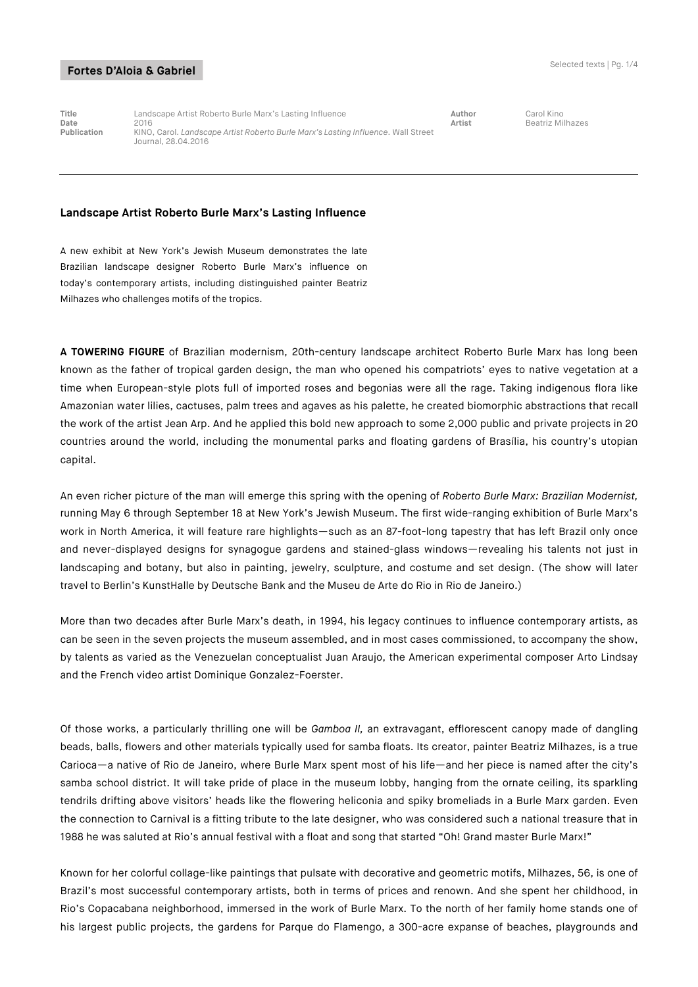**Title** Landscape Artist Roberto Burle Marx's Lasting Influence **Author** Carol Kino **Date** 2016<br>**Date** 2016 **Artist** Beatriz Milhazes<br>**Publication** KINO. Carol. *Landscape Artist Roberto Burle Marx's Lasting Influence*. Wall Street **Publication** KINO, Carol. *Landscape Artist Roberto Burle Marx's Lasting Influence*. Wall Street Journal, 28.04.2016

#### **Landscape Artist Roberto Burle Marx's Lasting Influence**

A new exhibit at New York's Jewish Museum demonstrates the late Brazilian landscape designer Roberto Burle Marx's influence on today's contemporary artists, including distinguished painter Beatriz Milhazes who challenges motifs of the tropics.

**A TOWERING FIGURE** of Brazilian modernism, 20th-century landscape architect Roberto Burle Marx has long been known as the father of tropical garden design, the man who opened his compatriots' eyes to native vegetation at a time when European-style plots full of imported roses and begonias were all the rage. Taking indigenous flora like Amazonian water lilies, cactuses, palm trees and agaves as his palette, he created biomorphic abstractions that recall the work of the artist Jean Arp. And he applied this bold new approach to some 2,000 public and private projects in 20 countries around the world, including the monumental parks and floating gardens of Brasília, his country's utopian capital.

An even richer picture of the man will emerge this spring with the opening of *Roberto Burle Marx: Brazilian Modernist,* running May 6 through September 18 at New York's Jewish Museum. The first wide-ranging exhibition of Burle Marx's work in North America, it will feature rare highlights—such as an 87-foot-long tapestry that has left Brazil only once and never-displayed designs for synagogue gardens and stained-glass windows—revealing his talents not just in landscaping and botany, but also in painting, jewelry, sculpture, and costume and set design. (The show will later travel to Berlin's KunstHalle by Deutsche Bank and the Museu de Arte do Rio in Rio de Janeiro.)

More than two decades after Burle Marx's death, in 1994, his legacy continues to influence contemporary artists, as can be seen in the seven projects the museum assembled, and in most cases commissioned, to accompany the show, by talents as varied as the Venezuelan conceptualist Juan Araujo, the American experimental composer Arto Lindsay and the French video artist Dominique Gonzalez-Foerster.

Of those works, a particularly thrilling one will be *Gamboa II,* an extravagant, efflorescent canopy made of dangling beads, balls, flowers and other materials typically used for samba floats. Its creator, painter Beatriz Milhazes, is a true Carioca—a native of Rio de Janeiro, where Burle Marx spent most of his life—and her piece is named after the city's samba school district. It will take pride of place in the museum lobby, hanging from the ornate ceiling, its sparkling tendrils drifting above visitors' heads like the flowering heliconia and spiky bromeliads in a Burle Marx garden. Even the connection to Carnival is a fitting tribute to the late designer, who was considered such a national treasure that in 1988 he was saluted at Rio's annual festival with a float and song that started "Oh! Grand master Burle Marx!"

Known for her colorful collage-like paintings that pulsate with decorative and geometric motifs, Milhazes, 56, is one of Brazil's most successful contemporary artists, both in terms of prices and renown. And she spent her childhood, in Rio's Copacabana neighborhood, immersed in the work of Burle Marx. To the north of her family home stands one of his largest public projects, the gardens for Parque do Flamengo, a 300-acre expanse of beaches, playgrounds and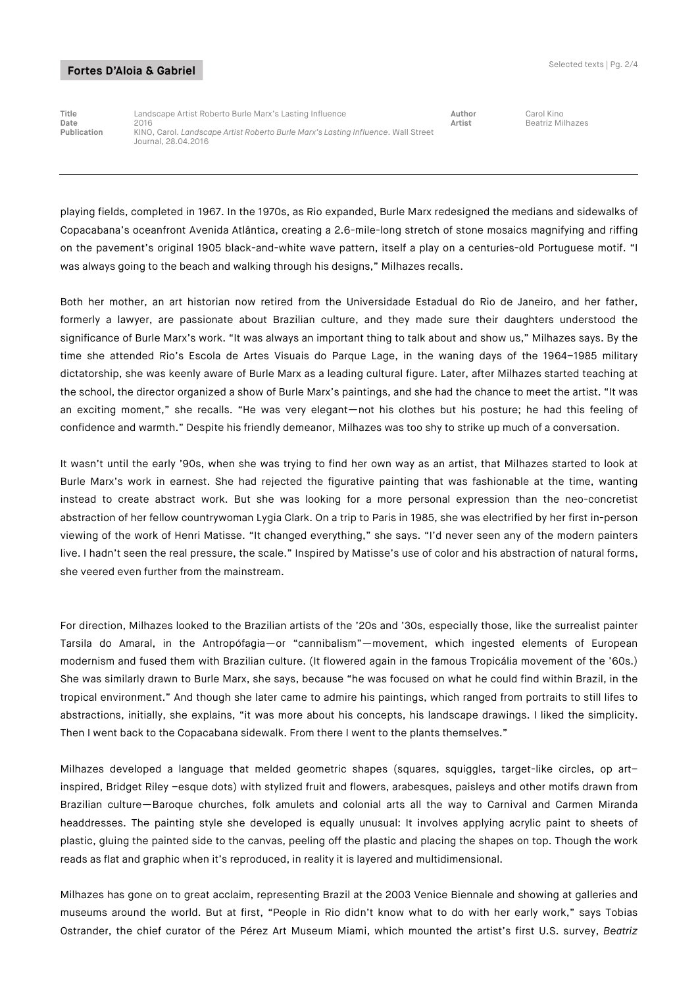**Title** Landscape Artist Roberto Burle Marx's Lasting Influence **Author** Carol Kino **Date** 2016<br>**Date** 2016 **Artist** Beatriz Milhazes<br>**Publication** KINO. Carol. *Landscape Artist Roberto Burle Marx's Lasting Influence*. Wall Street **Publication** KINO, Carol. *Landscape Artist Roberto Burle Marx's Lasting Influence*. Wall Street Journal, 28.04.2016

playing fields, completed in 1967. In the 1970s, as Rio expanded, Burle Marx redesigned the medians and sidewalks of Copacabana's oceanfront Avenida Atlântica, creating a 2.6-mile-long stretch of stone mosaics magnifying and riffing on the pavement's original 1905 black-and-white wave pattern, itself a play on a centuries-old Portuguese motif. "I was always going to the beach and walking through his designs," Milhazes recalls.

Both her mother, an art historian now retired from the Universidade Estadual do Rio de Janeiro, and her father, formerly a lawyer, are passionate about Brazilian culture, and they made sure their daughters understood the significance of Burle Marx's work. "It was always an important thing to talk about and show us," Milhazes says. By the time she attended Rio's Escola de Artes Visuais do Parque Lage, in the waning days of the 1964–1985 military dictatorship, she was keenly aware of Burle Marx as a leading cultural figure. Later, after Milhazes started teaching at the school, the director organized a show of Burle Marx's paintings, and she had the chance to meet the artist. "It was an exciting moment," she recalls. "He was very elegant—not his clothes but his posture; he had this feeling of confidence and warmth." Despite his friendly demeanor, Milhazes was too shy to strike up much of a conversation.

It wasn't until the early '90s, when she was trying to find her own way as an artist, that Milhazes started to look at Burle Marx's work in earnest. She had rejected the figurative painting that was fashionable at the time, wanting instead to create abstract work. But she was looking for a more personal expression than the neo-concretist abstraction of her fellow countrywoman Lygia Clark. On a trip to Paris in 1985, she was electrified by her first in-person viewing of the work of Henri Matisse. "It changed everything," she says. "I'd never seen any of the modern painters live. I hadn't seen the real pressure, the scale." Inspired by Matisse's use of color and his abstraction of natural forms, she veered even further from the mainstream.

For direction, Milhazes looked to the Brazilian artists of the '20s and '30s, especially those, like the surrealist painter Tarsila do Amaral, in the Antropófagia—or "cannibalism"—movement, which ingested elements of European modernism and fused them with Brazilian culture. (It flowered again in the famous Tropicália movement of the '60s.) She was similarly drawn to Burle Marx, she says, because "he was focused on what he could find within Brazil, in the tropical environment." And though she later came to admire his paintings, which ranged from portraits to still lifes to abstractions, initially, she explains, "it was more about his concepts, his landscape drawings. I liked the simplicity. Then I went back to the Copacabana sidewalk. From there I went to the plants themselves."

Milhazes developed a language that melded geometric shapes (squares, squiggles, target-like circles, op art– inspired, Bridget Riley –esque dots) with stylized fruit and flowers, arabesques, paisleys and other motifs drawn from Brazilian culture—Baroque churches, folk amulets and colonial arts all the way to Carnival and Carmen Miranda headdresses. The painting style she developed is equally unusual: It involves applying acrylic paint to sheets of plastic, gluing the painted side to the canvas, peeling off the plastic and placing the shapes on top. Though the work reads as flat and graphic when it's reproduced, in reality it is layered and multidimensional.

Milhazes has gone on to great acclaim, representing Brazil at the 2003 Venice Biennale and showing at galleries and museums around the world. But at first, "People in Rio didn't know what to do with her early work," says Tobias Ostrander, the chief curator of the Pérez Art Museum Miami, which mounted the artist's first U.S. survey, *Beatriz*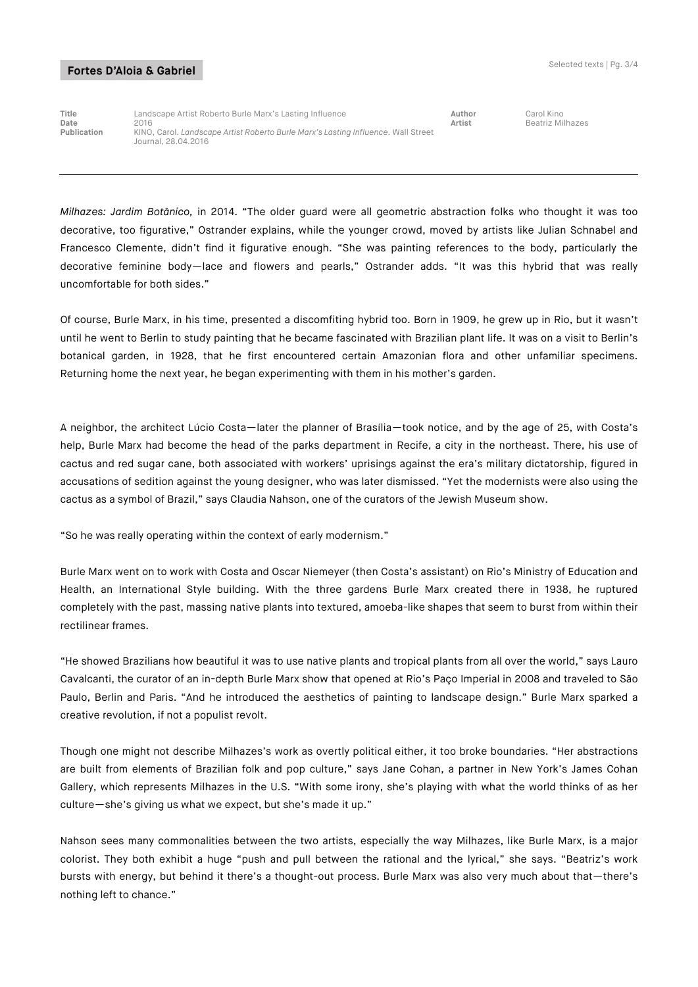**Title** Landscape Artist Roberto Burle Marx's Lasting Influence **Author** Carol Kino **Date** 2016 **Artist** Beatriz Milhazes **Publication** KINO, Carol. *Landscape Artist Roberto Burle Marx's Lasting Influence*. Wall Street Journal, 28.04.2016

*Milhazes: Jardim Botânico,* in 2014. "The older guard were all geometric abstraction folks who thought it was too decorative, too figurative," Ostrander explains, while the younger crowd, moved by artists like Julian Schnabel and Francesco Clemente, didn't find it figurative enough. "She was painting references to the body, particularly the decorative feminine body—lace and flowers and pearls," Ostrander adds. "It was this hybrid that was really uncomfortable for both sides."

Of course, Burle Marx, in his time, presented a discomfiting hybrid too. Born in 1909, he grew up in Rio, but it wasn't until he went to Berlin to study painting that he became fascinated with Brazilian plant life. It was on a visit to Berlin's botanical garden, in 1928, that he first encountered certain Amazonian flora and other unfamiliar specimens. Returning home the next year, he began experimenting with them in his mother's garden.

A neighbor, the architect Lúcio Costa—later the planner of Brasília—took notice, and by the age of 25, with Costa's help, Burle Marx had become the head of the parks department in Recife, a city in the northeast. There, his use of cactus and red sugar cane, both associated with workers' uprisings against the era's military dictatorship, figured in accusations of sedition against the young designer, who was later dismissed. "Yet the modernists were also using the cactus as a symbol of Brazil," says Claudia Nahson, one of the curators of the Jewish Museum show.

"So he was really operating within the context of early modernism."

Burle Marx went on to work with Costa and Oscar Niemeyer (then Costa's assistant) on Rio's Ministry of Education and Health, an International Style building. With the three gardens Burle Marx created there in 1938, he ruptured completely with the past, massing native plants into textured, amoeba-like shapes that seem to burst from within their rectilinear frames.

"He showed Brazilians how beautiful it was to use native plants and tropical plants from all over the world," says Lauro Cavalcanti, the curator of an in-depth Burle Marx show that opened at Rio's Paço Imperial in 2008 and traveled to São Paulo, Berlin and Paris. "And he introduced the aesthetics of painting to landscape design." Burle Marx sparked a creative revolution, if not a populist revolt.

Though one might not describe Milhazes's work as overtly political either, it too broke boundaries. "Her abstractions are built from elements of Brazilian folk and pop culture," says Jane Cohan, a partner in New York's James Cohan Gallery, which represents Milhazes in the U.S. "With some irony, she's playing with what the world thinks of as her culture—she's giving us what we expect, but she's made it up."

Nahson sees many commonalities between the two artists, especially the way Milhazes, like Burle Marx, is a major colorist. They both exhibit a huge "push and pull between the rational and the lyrical," she says. "Beatriz's work bursts with energy, but behind it there's a thought-out process. Burle Marx was also very much about that—there's nothing left to chance."